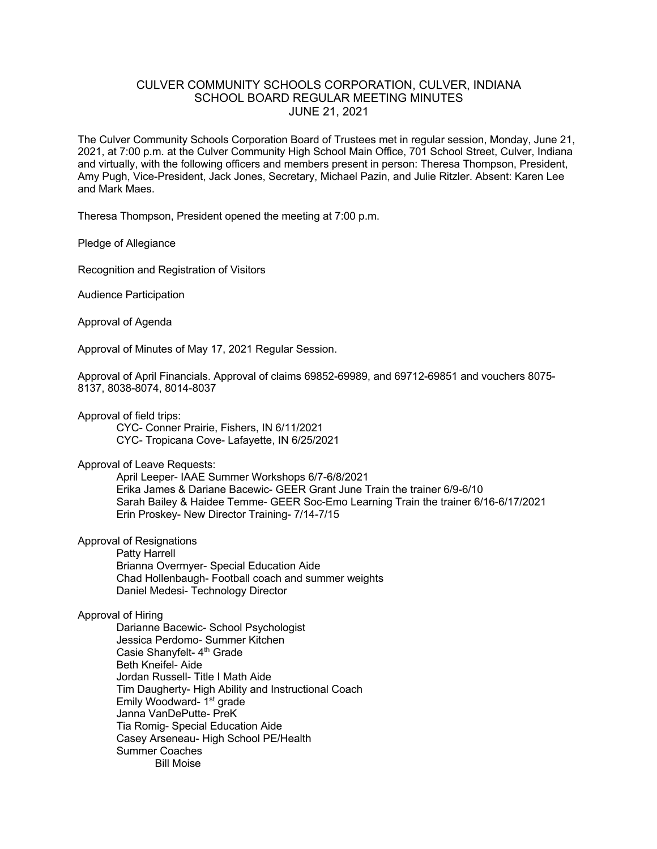## CULVER COMMUNITY SCHOOLS CORPORATION, CULVER, INDIANA SCHOOL BOARD REGULAR MEETING MINUTES JUNE 21, 2021

The Culver Community Schools Corporation Board of Trustees met in regular session, Monday, June 21, 2021, at 7:00 p.m. at the Culver Community High School Main Office, 701 School Street, Culver, Indiana and virtually, with the following officers and members present in person: Theresa Thompson, President, Amy Pugh, Vice-President, Jack Jones, Secretary, Michael Pazin, and Julie Ritzler. Absent: Karen Lee and Mark Maes.

Theresa Thompson, President opened the meeting at 7:00 p.m.

Pledge of Allegiance

Recognition and Registration of Visitors

Audience Participation

Approval of Agenda

Approval of Minutes of May 17, 2021 Regular Session.

Approval of April Financials. Approval of claims 69852-69989, and 69712-69851 and vouchers 8075- 8137, 8038-8074, 8014-8037

Approval of field trips:

CYC- Conner Prairie, Fishers, IN 6/11/2021 CYC- Tropicana Cove- Lafayette, IN 6/25/2021

## Approval of Leave Requests:

April Leeper- IAAE Summer Workshops 6/7-6/8/2021 Erika James & Dariane Bacewic- GEER Grant June Train the trainer 6/9-6/10 Sarah Bailey & Haidee Temme- GEER Soc-Emo Learning Train the trainer 6/16-6/17/2021 Erin Proskey- New Director Training- 7/14-7/15

Approval of Resignations

Patty Harrell Brianna Overmyer- Special Education Aide Chad Hollenbaugh- Football coach and summer weights Daniel Medesi- Technology Director

## Approval of Hiring

Darianne Bacewic- School Psychologist Jessica Perdomo- Summer Kitchen Casie Shanyfelt- 4<sup>th</sup> Grade Beth Kneifel- Aide Jordan Russell- Title I Math Aide Tim Daugherty- High Ability and Instructional Coach Emily Woodward- 1<sup>st</sup> grade Janna VanDePutte- PreK Tia Romig- Special Education Aide Casey Arseneau- High School PE/Health Summer Coaches Bill Moise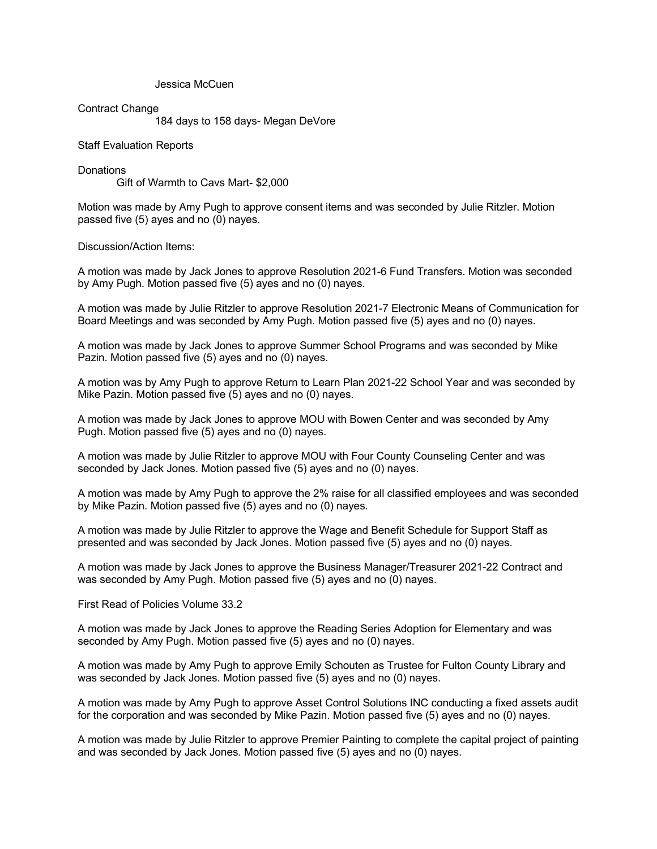Jessica McCuen

Contract Change

184 days to 158 days- Megan DeVore

Staff Evaluation Reports

**Donations** Gift of Warmth to Cavs Mart- \$2,000

Motion was made by Amy Pugh to approve consent items and was seconded by Julie Ritzler. Motion passed five (5) ayes and no (0) nayes.

Discussion/Action Items:

A motion was made by Jack Jones to approve Resolution 2021-6 Fund Transfers. Motion was seconded by Amy Pugh. Motion passed five (5) ayes and no (0) nayes.

A motion was made by Julie Ritzler to approve Resolution 2021-7 Electronic Means of Communication for Board Meetings and was seconded by Amy Pugh. Motion passed five (5) ayes and no (0) nayes.

A motion was made by Jack Jones to approve Summer School Programs and was seconded by Mike Pazin. Motion passed five (5) ayes and no (0) nayes.

A motion was by Amy Pugh to approve Return to Learn Plan 2021-22 School Year and was seconded by Mike Pazin. Motion passed five (5) ayes and no (0) nayes.

A motion was made by Jack Jones to approve MOU with Bowen Center and was seconded by Amy Pugh. Motion passed five (5) ayes and no (0) nayes.

A motion was made by Julie Ritzler to approve MOU with Four County Counseling Center and was seconded by Jack Jones. Motion passed five (5) ayes and no (0) nayes.

A motion was made by Amy Pugh to approve the 2% raise for all classified employees and was seconded by Mike Pazin. Motion passed five (5) ayes and no (0) nayes.

A motion was made by Julie Ritzler to approve the Wage and Benefit Schedule for Support Staff as presented and was seconded by Jack Jones. Motion passed five (5) ayes and no (0) nayes.

A motion was made by Jack Jones to approve the Business Manager/Treasurer 2021-22 Contract and was seconded by Amy Pugh. Motion passed five (5) ayes and no (0) nayes.

First Read of Policies Volume 33.2

A motion was made by Jack Jones to approve the Reading Series Adoption for Elementary and was seconded by Amy Pugh. Motion passed five (5) ayes and no (0) nayes.

A motion was made by Amy Pugh to approve Emily Schouten as Trustee for Fulton County Library and was seconded by Jack Jones. Motion passed five (5) ayes and no (0) nayes.

A motion was made by Amy Pugh to approve Asset Control Solutions INC conducting a fixed assets audit for the corporation and was seconded by Mike Pazin. Motion passed five (5) ayes and no (0) nayes.

A motion was made by Julie Ritzler to approve Premier Painting to complete the capital project of painting and was seconded by Jack Jones. Motion passed five (5) ayes and no (0) nayes.